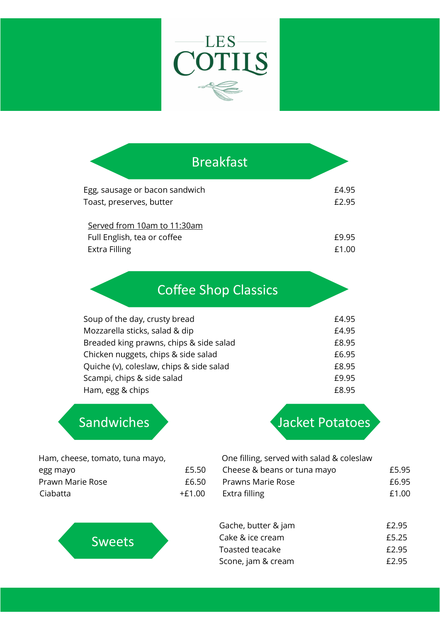

| <b>Breakfast</b>                                                                   |                |
|------------------------------------------------------------------------------------|----------------|
| Egg, sausage or bacon sandwich<br>Toast, preserves, butter                         | £4.95<br>£2.95 |
| Served from 10am to 11:30am<br>Full English, tea or coffee<br><b>Extra Filling</b> | £9.95<br>£1.00 |

## Coffee Shop Classics

| Soup of the day, crusty bread            | £4.95 |
|------------------------------------------|-------|
| Mozzarella sticks, salad & dip           | £4.95 |
| Breaded king prawns, chips & side salad  | £8.95 |
| Chicken nuggets, chips & side salad      | £6.95 |
| Quiche (v), coleslaw, chips & side salad | £8.95 |
| Scampi, chips & side salad               | £9.95 |
| Ham, egg & chips                         | £8.95 |

Sweets

## Sandwiches **Jacket Potatoes**

| Ham, cheese, tomato, tuna mayo, |        | One filling, served with salad & coleslaw |       |
|---------------------------------|--------|-------------------------------------------|-------|
| egg mayo                        | £5.50  | Cheese & beans or tuna mayo               | £5.95 |
| Prawn Marie Rose                | £6.50  | Prawns Marie Rose                         | £6.95 |
| Ciabatta                        | +£1.00 | Extra filling                             | £1.00 |

## Gache, butter & jam **E2.95** Cake & ice cream **E5.25** Toasted teacake **E2.95** Scone, jam & cream **E2.95**